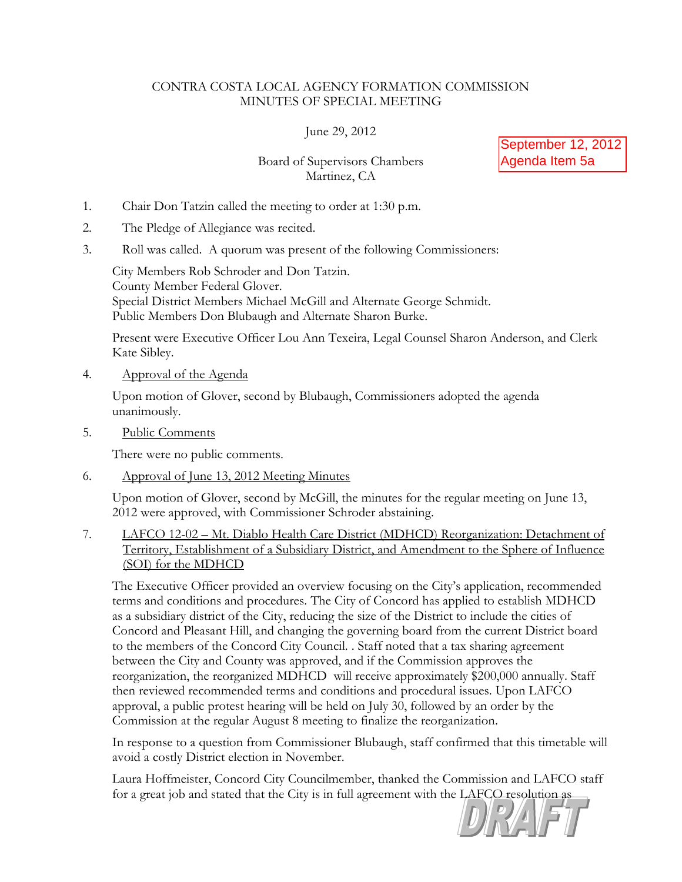## CONTRA COSTA LOCAL AGENCY FORMATION COMMISSION MINUTES OF SPECIAL MEETING

June 29, 2012

Board of Supervisors Chambers Martinez, CA

September 12, 2012 Agenda Item 5a

- 1. Chair Don Tatzin called the meeting to order at 1:30 p.m.
- 2. The Pledge of Allegiance was recited.
- 3. Roll was called. A quorum was present of the following Commissioners:

City Members Rob Schroder and Don Tatzin. County Member Federal Glover. Special District Members Michael McGill and Alternate George Schmidt. Public Members Don Blubaugh and Alternate Sharon Burke.

Present were Executive Officer Lou Ann Texeira, Legal Counsel Sharon Anderson, and Clerk Kate Sibley.

4. Approval of the Agenda

Upon motion of Glover, second by Blubaugh, Commissioners adopted the agenda unanimously.

5. Public Comments

There were no public comments.

6. Approval of June 13, 2012 Meeting Minutes

Upon motion of Glover, second by McGill, the minutes for the regular meeting on June 13, 2012 were approved, with Commissioner Schroder abstaining.

7. LAFCO 12-02 – Mt. Diablo Health Care District (MDHCD) Reorganization: Detachment of Territory, Establishment of a Subsidiary District, and Amendment to the Sphere of Influence (SOI) for the MDHCD

The Executive Officer provided an overview focusing on the City's application, recommended terms and conditions and procedures. The City of Concord has applied to establish MDHCD as a subsidiary district of the City, reducing the size of the District to include the cities of Concord and Pleasant Hill, and changing the governing board from the current District board to the members of the Concord City Council. . Staff noted that a tax sharing agreement between the City and County was approved, and if the Commission approves the reorganization, the reorganized MDHCD will receive approximately \$200,000 annually. Staff then reviewed recommended terms and conditions and procedural issues. Upon LAFCO approval, a public protest hearing will be held on July 30, followed by an order by the Commission at the regular August 8 meeting to finalize the reorganization.

In response to a question from Commissioner Blubaugh, staff confirmed that this timetable will avoid a costly District election in November.

Laura Hoffmeister, Concord City Councilmember, thanked the Commission and LAFCO staff for a great job and stated that the City is in full agreement with the LAFCO resolution as

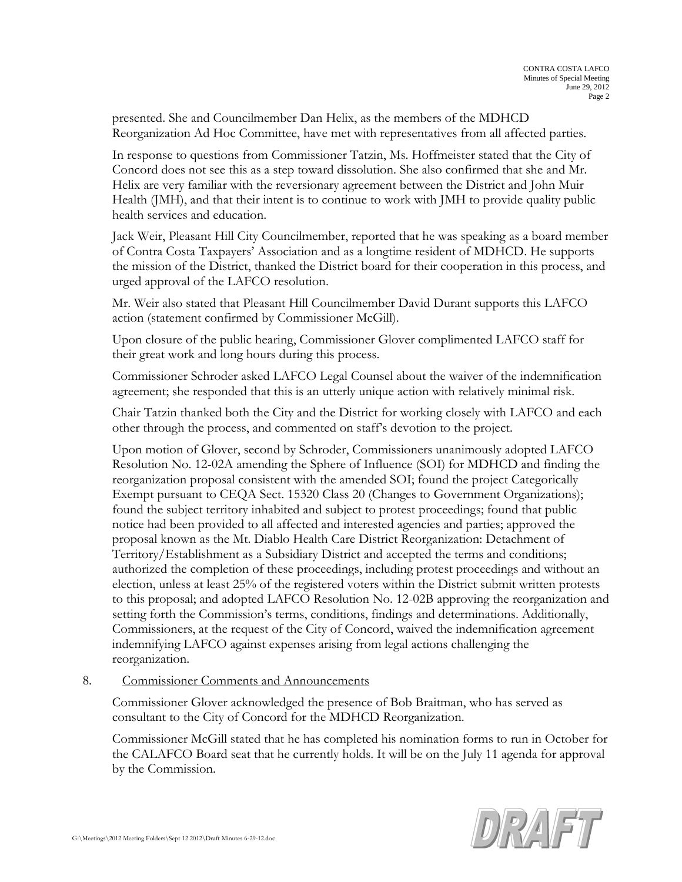presented. She and Councilmember Dan Helix, as the members of the MDHCD Reorganization Ad Hoc Committee, have met with representatives from all affected parties.

In response to questions from Commissioner Tatzin, Ms. Hoffmeister stated that the City of Concord does not see this as a step toward dissolution. She also confirmed that she and Mr. Helix are very familiar with the reversionary agreement between the District and John Muir Health (JMH), and that their intent is to continue to work with JMH to provide quality public health services and education.

Jack Weir, Pleasant Hill City Councilmember, reported that he was speaking as a board member of Contra Costa Taxpayers' Association and as a longtime resident of MDHCD. He supports the mission of the District, thanked the District board for their cooperation in this process, and urged approval of the LAFCO resolution.

Mr. Weir also stated that Pleasant Hill Councilmember David Durant supports this LAFCO action (statement confirmed by Commissioner McGill).

Upon closure of the public hearing, Commissioner Glover complimented LAFCO staff for their great work and long hours during this process.

Commissioner Schroder asked LAFCO Legal Counsel about the waiver of the indemnification agreement; she responded that this is an utterly unique action with relatively minimal risk.

Chair Tatzin thanked both the City and the District for working closely with LAFCO and each other through the process, and commented on staff's devotion to the project.

Upon motion of Glover, second by Schroder, Commissioners unanimously adopted LAFCO Resolution No. 12-02A amending the Sphere of Influence (SOI) for MDHCD and finding the reorganization proposal consistent with the amended SOI; found the project Categorically Exempt pursuant to CEQA Sect. 15320 Class 20 (Changes to Government Organizations); found the subject territory inhabited and subject to protest proceedings; found that public notice had been provided to all affected and interested agencies and parties; approved the proposal known as the Mt. Diablo Health Care District Reorganization: Detachment of Territory/Establishment as a Subsidiary District and accepted the terms and conditions; authorized the completion of these proceedings, including protest proceedings and without an election, unless at least 25% of the registered voters within the District submit written protests to this proposal; and adopted LAFCO Resolution No. 12-02B approving the reorganization and setting forth the Commission's terms, conditions, findings and determinations. Additionally, Commissioners, at the request of the City of Concord, waived the indemnification agreement indemnifying LAFCO against expenses arising from legal actions challenging the reorganization.

## 8. Commissioner Comments and Announcements

Commissioner Glover acknowledged the presence of Bob Braitman, who has served as consultant to the City of Concord for the MDHCD Reorganization.

Commissioner McGill stated that he has completed his nomination forms to run in October for the CALAFCO Board seat that he currently holds. It will be on the July 11 agenda for approval by the Commission.